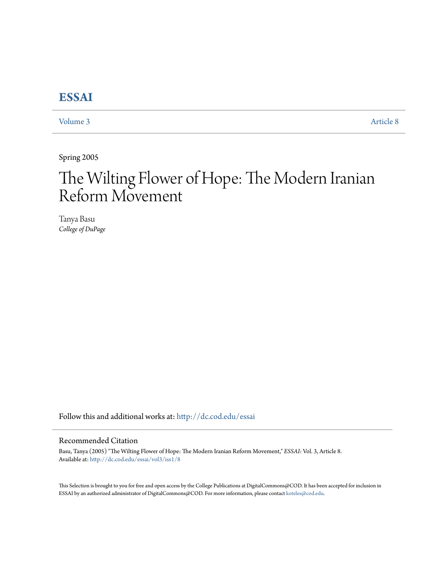## **[ESSAI](http://dc.cod.edu/essai?utm_source=dc.cod.edu%2Fessai%2Fvol3%2Fiss1%2F8&utm_medium=PDF&utm_campaign=PDFCoverPages)**

[Volume 3](http://dc.cod.edu/essai/vol3?utm_source=dc.cod.edu%2Fessai%2Fvol3%2Fiss1%2F8&utm_medium=PDF&utm_campaign=PDFCoverPages) [Article 8](http://dc.cod.edu/essai/vol3/iss1/8?utm_source=dc.cod.edu%2Fessai%2Fvol3%2Fiss1%2F8&utm_medium=PDF&utm_campaign=PDFCoverPages)

Spring 2005

# The Wilting Flower of Hope: The Modern Iranian Reform Movement

Tanya Basu *College of DuPage*

Follow this and additional works at: [http://dc.cod.edu/essai](http://dc.cod.edu/essai?utm_source=dc.cod.edu%2Fessai%2Fvol3%2Fiss1%2F8&utm_medium=PDF&utm_campaign=PDFCoverPages)

#### Recommended Citation

Basu, Tanya (2005) "The Wilting Flower of Hope: The Modern Iranian Reform Movement," *ESSAI*: Vol. 3, Article 8. Available at: [http://dc.cod.edu/essai/vol3/iss1/8](http://dc.cod.edu/essai/vol3/iss1/8?utm_source=dc.cod.edu%2Fessai%2Fvol3%2Fiss1%2F8&utm_medium=PDF&utm_campaign=PDFCoverPages)

This Selection is brought to you for free and open access by the College Publications at DigitalCommons@COD. It has been accepted for inclusion in ESSAI by an authorized administrator of DigitalCommons@COD. For more information, please contact [koteles@cod.edu](mailto:koteles@cod.edu).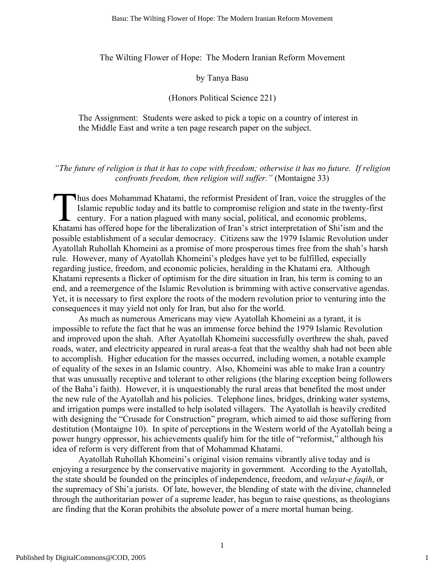The Wilting Flower of Hope: The Modern Iranian Reform Movement

#### by Tanya Basu

### (Honors Political Science 221)

The Assignment: Students were asked to pick a topic on a country of interest in the Middle East and write a ten page research paper on the subject.

#### *"The future of religion is that it has to cope with freedom; otherwise it has no future. If religion confronts freedom, then religion will suffer."* (Montaigne 33)

hus does Mohammad Khatami, the reformist President of Iran, voice the struggles of the Islamic republic today and its battle to compromise religion and state in the twenty-first century. For a nation plagued with many social, political, and economic problems, Thus does Mohammad Khatami, the reformist President of Iran, voice the struggles of the Islamic republic today and its battle to compromise religion and state in the twenty-first century. For a nation plagued with many soc possible establishment of a secular democracy. Citizens saw the 1979 Islamic Revolution under Ayatollah Ruhollah Khomeini as a promise of more prosperous times free from the shah's harsh rule. However, many of Ayatollah Khomeini's pledges have yet to be fulfilled, especially regarding justice, freedom, and economic policies, heralding in the Khatami era. Although Khatami represents a flicker of optimism for the dire situation in Iran, his term is coming to an end, and a reemergence of the Islamic Revolution is brimming with active conservative agendas. Yet, it is necessary to first explore the roots of the modern revolution prior to venturing into the consequences it may yield not only for Iran, but also for the world.

As much as numerous Americans may view Ayatollah Khomeini as a tyrant, it is impossible to refute the fact that he was an immense force behind the 1979 Islamic Revolution and improved upon the shah. After Ayatollah Khomeini successfully overthrew the shah, paved roads, water, and electricity appeared in rural areas-a feat that the wealthy shah had not been able to accomplish. Higher education for the masses occurred, including women, a notable example of equality of the sexes in an Islamic country. Also, Khomeini was able to make Iran a country that was unusually receptive and tolerant to other religions (the blaring exception being followers of the Baha'i faith). However, it is unquestionably the rural areas that benefited the most under the new rule of the Ayatollah and his policies. Telephone lines, bridges, drinking water systems, and irrigation pumps were installed to help isolated villagers. The Ayatollah is heavily credited with designing the "Crusade for Construction" program, which aimed to aid those suffering from destitution (Montaigne 10). In spite of perceptions in the Western world of the Ayatollah being a power hungry oppressor, his achievements qualify him for the title of "reformist," although his idea of reform is very different from that of Mohammad Khatami.

Ayatollah Ruhollah Khomeini's original vision remains vibrantly alive today and is enjoying a resurgence by the conservative majority in government. According to the Ayatollah, the state should be founded on the principles of independence, freedom, and *velayat-e faqih*, or the supremacy of Shi'a jurists. Of late, however, the blending of state with the divine, channeled through the authoritarian power of a supreme leader, has begun to raise questions, as theologians are finding that the Koran prohibits the absolute power of a mere mortal human being.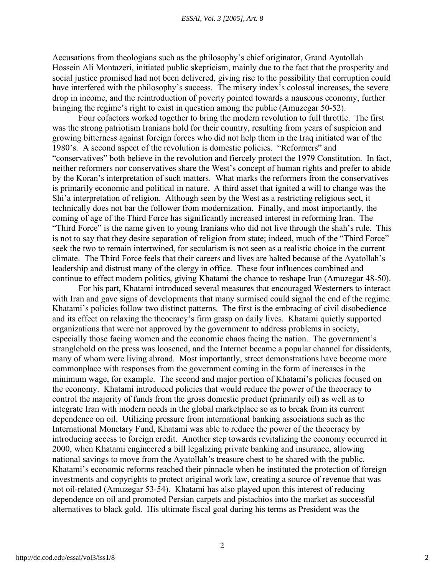#### *ESSAI, Vol. 3 [2005], Art. 8*

Accusations from theologians such as the philosophy's chief originator, Grand Ayatollah Hossein Ali Montazeri, initiated public skepticism, mainly due to the fact that the prosperity and social justice promised had not been delivered, giving rise to the possibility that corruption could have interfered with the philosophy's success. The misery index's colossal increases, the severe drop in income, and the reintroduction of poverty pointed towards a nauseous economy, further bringing the regime's right to exist in question among the public (Amuzegar 50-52).

Four cofactors worked together to bring the modern revolution to full throttle. The first was the strong patriotism Iranians hold for their country, resulting from years of suspicion and growing bitterness against foreign forces who did not help them in the Iraq initiated war of the 1980's. A second aspect of the revolution is domestic policies. "Reformers" and "conservatives" both believe in the revolution and fiercely protect the 1979 Constitution. In fact, neither reformers nor conservatives share the West's concept of human rights and prefer to abide by the Koran's interpretation of such matters. What marks the reformers from the conservatives is primarily economic and political in nature. A third asset that ignited a will to change was the Shi'a interpretation of religion. Although seen by the West as a restricting religious sect, it technically does not bar the follower from modernization. Finally, and most importantly, the coming of age of the Third Force has significantly increased interest in reforming Iran. The "Third Force" is the name given to young Iranians who did not live through the shah's rule. This is not to say that they desire separation of religion from state; indeed, much of the "Third Force" seek the two to remain intertwined, for secularism is not seen as a realistic choice in the current climate. The Third Force feels that their careers and lives are halted because of the Ayatollah's leadership and distrust many of the clergy in office. These four influences combined and continue to effect modern politics, giving Khatami the chance to reshape Iran (Amuzegar 48-50).

For his part, Khatami introduced several measures that encouraged Westerners to interact with Iran and gave signs of developments that many surmised could signal the end of the regime. Khatami's policies follow two distinct patterns. The first is the embracing of civil disobedience and its effect on relaxing the theocracy's firm grasp on daily lives. Khatami quietly supported organizations that were not approved by the government to address problems in society, especially those facing women and the economic chaos facing the nation. The government's stranglehold on the press was loosened, and the Internet became a popular channel for dissidents, many of whom were living abroad. Most importantly, street demonstrations have become more commonplace with responses from the government coming in the form of increases in the minimum wage, for example. The second and major portion of Khatami's policies focused on the economy. Khatami introduced policies that would reduce the power of the theocracy to control the majority of funds from the gross domestic product (primarily oil) as well as to integrate Iran with modern needs in the global marketplace so as to break from its current dependence on oil. Utilizing pressure from international banking associations such as the International Monetary Fund, Khatami was able to reduce the power of the theocracy by introducing access to foreign credit. Another step towards revitalizing the economy occurred in 2000, when Khatami engineered a bill legalizing private banking and insurance, allowing national savings to move from the Ayatollah's treasure chest to be shared with the public. Khatami's economic reforms reached their pinnacle when he instituted the protection of foreign investments and copyrights to protect original work law, creating a source of revenue that was not oil-related (Amuzegar 53-54). Khatami has also played upon this interest of reducing dependence on oil and promoted Persian carpets and pistachios into the market as successful alternatives to black gold. His ultimate fiscal goal during his terms as President was the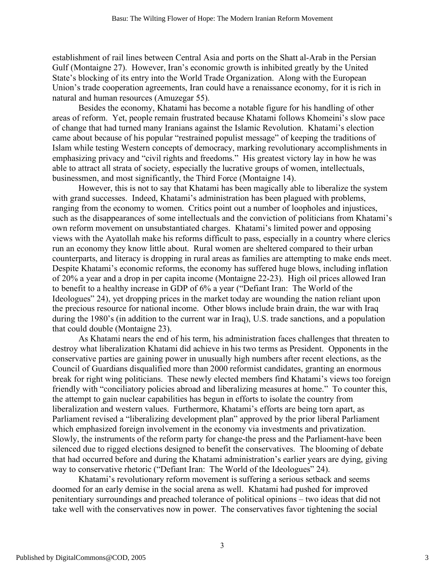establishment of rail lines between Central Asia and ports on the Shatt al-Arab in the Persian Gulf (Montaigne 27). However, Iran's economic growth is inhibited greatly by the United State's blocking of its entry into the World Trade Organization. Along with the European Union's trade cooperation agreements, Iran could have a renaissance economy, for it is rich in natural and human resources (Amuzegar 55).

Besides the economy, Khatami has become a notable figure for his handling of other areas of reform. Yet, people remain frustrated because Khatami follows Khomeini's slow pace of change that had turned many Iranians against the Islamic Revolution. Khatami's election came about because of his popular "restrained populist message" of keeping the traditions of Islam while testing Western concepts of democracy, marking revolutionary accomplishments in emphasizing privacy and "civil rights and freedoms." His greatest victory lay in how he was able to attract all strata of society, especially the lucrative groups of women, intellectuals, businessmen, and most significantly, the Third Force (Montaigne 14).

However, this is not to say that Khatami has been magically able to liberalize the system with grand successes. Indeed, Khatami's administration has been plagued with problems, ranging from the economy to women. Critics point out a number of loopholes and injustices, such as the disappearances of some intellectuals and the conviction of politicians from Khatami's own reform movement on unsubstantiated charges. Khatami's limited power and opposing views with the Ayatollah make his reforms difficult to pass, especially in a country where clerics run an economy they know little about. Rural women are sheltered compared to their urban counterparts, and literacy is dropping in rural areas as families are attempting to make ends meet. Despite Khatami's economic reforms, the economy has suffered huge blows, including inflation of 20% a year and a drop in per capita income (Montaigne 22-23). High oil prices allowed Iran to benefit to a healthy increase in GDP of 6% a year ("Defiant Iran: The World of the Ideologues" 24), yet dropping prices in the market today are wounding the nation reliant upon the precious resource for national income. Other blows include brain drain, the war with Iraq during the 1980's (in addition to the current war in Iraq), U.S. trade sanctions, and a population that could double (Montaigne 23).

As Khatami nears the end of his term, his administration faces challenges that threaten to destroy what liberalization Khatami did achieve in his two terms as President. Opponents in the conservative parties are gaining power in unusually high numbers after recent elections, as the Council of Guardians disqualified more than 2000 reformist candidates, granting an enormous break for right wing politicians. These newly elected members find Khatami's views too foreign friendly with "conciliatory policies abroad and liberalizing measures at home." To counter this, the attempt to gain nuclear capabilities has begun in efforts to isolate the country from liberalization and western values. Furthermore, Khatami's efforts are being torn apart, as Parliament revised a "liberalizing development plan" approved by the prior liberal Parliament which emphasized foreign involvement in the economy via investments and privatization. Slowly, the instruments of the reform party for change-the press and the Parliament-have been silenced due to rigged elections designed to benefit the conservatives. The blooming of debate that had occurred before and during the Khatami administration's earlier years are dying, giving way to conservative rhetoric ("Defiant Iran: The World of the Ideologues" 24).

Khatami's revolutionary reform movement is suffering a serious setback and seems doomed for an early demise in the social arena as well. Khatami had pushed for improved penitentiary surroundings and preached tolerance of political opinions – two ideas that did not take well with the conservatives now in power. The conservatives favor tightening the social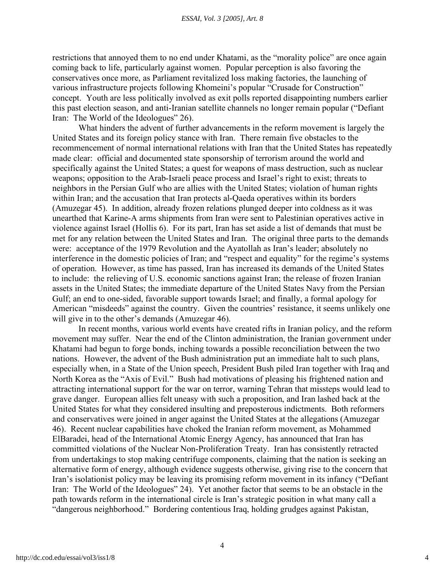restrictions that annoyed them to no end under Khatami, as the "morality police" are once again coming back to life, particularly against women. Popular perception is also favoring the conservatives once more, as Parliament revitalized loss making factories, the launching of various infrastructure projects following Khomeini's popular "Crusade for Construction" concept. Youth are less politically involved as exit polls reported disappointing numbers earlier this past election season, and anti-Iranian satellite channels no longer remain popular ("Defiant Iran: The World of the Ideologues" 26).

What hinders the advent of further advancements in the reform movement is largely the United States and its foreign policy stance with Iran. There remain five obstacles to the recommencement of normal international relations with Iran that the United States has repeatedly made clear: official and documented state sponsorship of terrorism around the world and specifically against the United States; a quest for weapons of mass destruction, such as nuclear weapons; opposition to the Arab-Israeli peace process and Israel's right to exist; threats to neighbors in the Persian Gulf who are allies with the United States; violation of human rights within Iran; and the accusation that Iran protects al-Qaeda operatives within its borders (Amuzegar 45). In addition, already frozen relations plunged deeper into coldness as it was unearthed that Karine-A arms shipments from Iran were sent to Palestinian operatives active in violence against Israel (Hollis 6). For its part, Iran has set aside a list of demands that must be met for any relation between the United States and Iran. The original three parts to the demands were: acceptance of the 1979 Revolution and the Ayatollah as Iran's leader; absolutely no interference in the domestic policies of Iran; and "respect and equality" for the regime's systems of operation. However, as time has passed, Iran has increased its demands of the United States to include: the relieving of U.S. economic sanctions against Iran; the release of frozen Iranian assets in the United States; the immediate departure of the United States Navy from the Persian Gulf; an end to one-sided, favorable support towards Israel; and finally, a formal apology for American "misdeeds" against the country. Given the countries' resistance, it seems unlikely one will give in to the other's demands (Amuzegar 46).

In recent months, various world events have created rifts in Iranian policy, and the reform movement may suffer. Near the end of the Clinton administration, the Iranian government under Khatami had begun to forge bonds, inching towards a possible reconciliation between the two nations. However, the advent of the Bush administration put an immediate halt to such plans, especially when, in a State of the Union speech, President Bush piled Iran together with Iraq and North Korea as the "Axis of Evil." Bush had motivations of pleasing his frightened nation and attracting international support for the war on terror, warning Tehran that missteps would lead to grave danger. European allies felt uneasy with such a proposition, and Iran lashed back at the United States for what they considered insulting and preposterous indictments. Both reformers and conservatives were joined in anger against the United States at the allegations (Amuzegar 46). Recent nuclear capabilities have choked the Iranian reform movement, as Mohammed ElBaradei, head of the International Atomic Energy Agency, has announced that Iran has committed violations of the Nuclear Non-Proliferation Treaty. Iran has consistently retracted from undertakings to stop making centrifuge components, claiming that the nation is seeking an alternative form of energy, although evidence suggests otherwise, giving rise to the concern that Iran's isolationist policy may be leaving its promising reform movement in its infancy ("Defiant Iran: The World of the Ideologues" 24). Yet another factor that seems to be an obstacle in the path towards reform in the international circle is Iran's strategic position in what many call a "dangerous neighborhood." Bordering contentious Iraq, holding grudges against Pakistan,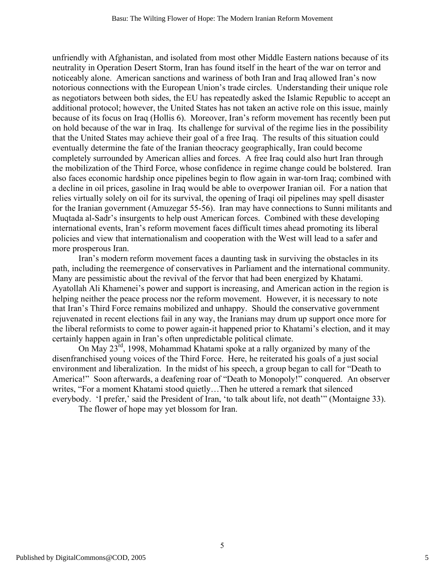unfriendly with Afghanistan, and isolated from most other Middle Eastern nations because of its neutrality in Operation Desert Storm, Iran has found itself in the heart of the war on terror and noticeably alone. American sanctions and wariness of both Iran and Iraq allowed Iran's now notorious connections with the European Union's trade circles. Understanding their unique role as negotiators between both sides, the EU has repeatedly asked the Islamic Republic to accept an additional protocol; however, the United States has not taken an active role on this issue, mainly because of its focus on Iraq (Hollis 6). Moreover, Iran's reform movement has recently been put on hold because of the war in Iraq. Its challenge for survival of the regime lies in the possibility that the United States may achieve their goal of a free Iraq. The results of this situation could eventually determine the fate of the Iranian theocracy geographically, Iran could become completely surrounded by American allies and forces. A free Iraq could also hurt Iran through the mobilization of the Third Force, whose confidence in regime change could be bolstered. Iran also faces economic hardship once pipelines begin to flow again in war-torn Iraq; combined with a decline in oil prices, gasoline in Iraq would be able to overpower Iranian oil. For a nation that relies virtually solely on oil for its survival, the opening of Iraqi oil pipelines may spell disaster for the Iranian government (Amuzegar 55-56). Iran may have connections to Sunni militants and Muqtada al-Sadr's insurgents to help oust American forces. Combined with these developing international events, Iran's reform movement faces difficult times ahead promoting its liberal policies and view that internationalism and cooperation with the West will lead to a safer and more prosperous Iran.

Iran's modern reform movement faces a daunting task in surviving the obstacles in its path, including the reemergence of conservatives in Parliament and the international community. Many are pessimistic about the revival of the fervor that had been energized by Khatami. Ayatollah Ali Khamenei's power and support is increasing, and American action in the region is helping neither the peace process nor the reform movement. However, it is necessary to note that Iran's Third Force remains mobilized and unhappy. Should the conservative government rejuvenated in recent elections fail in any way, the Iranians may drum up support once more for the liberal reformists to come to power again-it happened prior to Khatami's election, and it may certainly happen again in Iran's often unpredictable political climate.

On May 23rd, 1998, Mohammad Khatami spoke at a rally organized by many of the disenfranchised young voices of the Third Force. Here, he reiterated his goals of a just social environment and liberalization. In the midst of his speech, a group began to call for "Death to America!" Soon afterwards, a deafening roar of "Death to Monopoly!" conquered. An observer writes, "For a moment Khatami stood quietly…Then he uttered a remark that silenced everybody. 'I prefer,' said the President of Iran, 'to talk about life, not death'" (Montaigne 33).

The flower of hope may yet blossom for Iran.